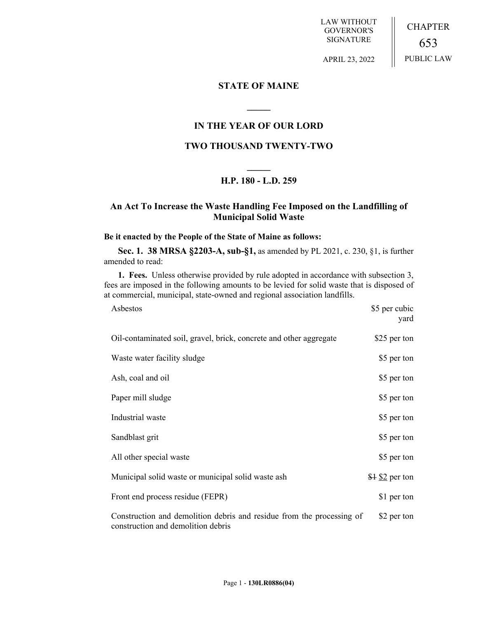LAW WITHOUT GOVERNOR'S SIGNATURE

CHAPTER 653 PUBLIC LAW

APRIL 23, 2022

## **STATE OF MAINE**

# **IN THE YEAR OF OUR LORD**

**\_\_\_\_\_**

## **TWO THOUSAND TWENTY-TWO**

# **\_\_\_\_\_ H.P. 180 - L.D. 259**

# **An Act To Increase the Waste Handling Fee Imposed on the Landfilling of Municipal Solid Waste**

#### **Be it enacted by the People of the State of Maine as follows:**

**Sec. 1. 38 MRSA §2203-A, sub-§1,** as amended by PL 2021, c. 230, §1, is further amended to read:

**1. Fees.** Unless otherwise provided by rule adopted in accordance with subsection 3, fees are imposed in the following amounts to be levied for solid waste that is disposed of at commercial, municipal, state-owned and regional association landfills.

| Asbestos                                                                                                    | \$5 per cubic<br>yard         |
|-------------------------------------------------------------------------------------------------------------|-------------------------------|
| Oil-contaminated soil, gravel, brick, concrete and other aggregate                                          | \$25 per ton                  |
| Waste water facility sludge                                                                                 | \$5 per ton                   |
| Ash, coal and oil                                                                                           | \$5 per ton                   |
| Paper mill sludge                                                                                           | \$5 per ton                   |
| Industrial waste                                                                                            | \$5 per ton                   |
| Sandblast grit                                                                                              | \$5 per ton                   |
| All other special waste                                                                                     | \$5 per ton                   |
| Municipal solid waste or municipal solid waste ash                                                          | $$4 \underline{$ }\$2 per ton |
| Front end process residue (FEPR)                                                                            | \$1 per ton                   |
| Construction and demolition debris and residue from the processing of<br>construction and demolition debris | \$2 per ton                   |